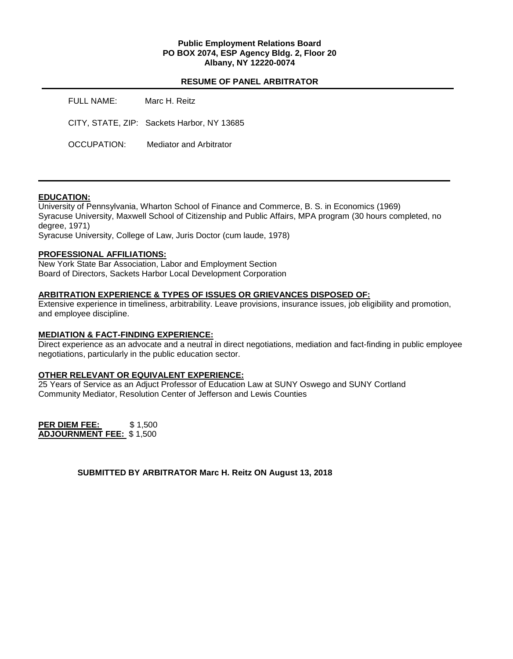### **Public Employment Relations Board PO BOX 2074, ESP Agency Bldg. 2, Floor 20 Albany, NY 12220-0074**

### **RESUME OF PANEL ARBITRATOR**

| <b>FULL NAME:</b> | Marc H. Reitz                              |
|-------------------|--------------------------------------------|
|                   | CITY, STATE, ZIP: Sackets Harbor, NY 13685 |
| OCCUPATION:       | Mediator and Arbitrator                    |

### **EDUCATION:**

University of Pennsylvania, Wharton School of Finance and Commerce, B. S. in Economics (1969) Syracuse University, Maxwell School of Citizenship and Public Affairs, MPA program (30 hours completed, no degree, 1971)

Syracuse University, College of Law, Juris Doctor (cum laude, 1978)

### **PROFESSIONAL AFFILIATIONS:**

New York State Bar Association, Labor and Employment Section Board of Directors, Sackets Harbor Local Development Corporation

# **ARBITRATION EXPERIENCE & TYPES OF ISSUES OR GRIEVANCES DISPOSED OF:**

Extensive experience in timeliness, arbitrability. Leave provisions, insurance issues, job eligibility and promotion, and employee discipline.

### **MEDIATION & FACT-FINDING EXPERIENCE:**

Direct experience as an advocate and a neutral in direct negotiations, mediation and fact-finding in public employee negotiations, particularly in the public education sector.

### **OTHER RELEVANT OR EQUIVALENT EXPERIENCE:**

25 Years of Service as an Adjuct Professor of Education Law at SUNY Oswego and SUNY Cortland Community Mediator, Resolution Center of Jefferson and Lewis Counties

**PER DIEM FEE:** \$1,500 **ADJOURNMENT FEE:** \$ 1,500

**SUBMITTED BY ARBITRATOR Marc H. Reitz ON August 13, 2018**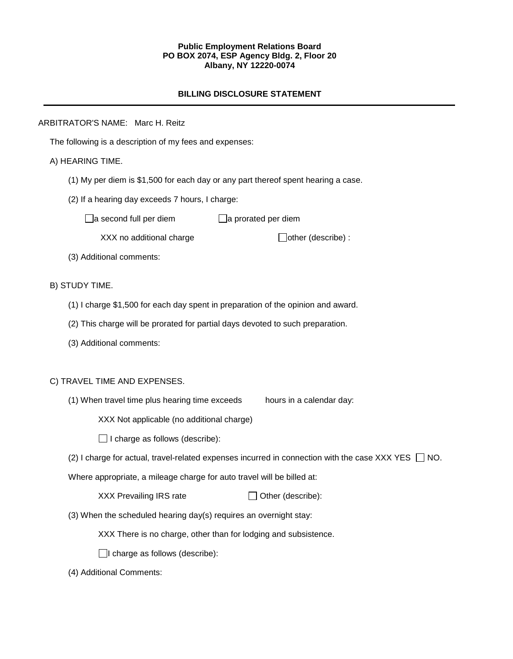### **Public Employment Relations Board PO BOX 2074, ESP Agency Bldg. 2, Floor 20 Albany, NY 12220-0074**

### **BILLING DISCLOSURE STATEMENT**

### ARBITRATOR'S NAME: Marc H. Reitz

The following is a description of my fees and expenses:

### A) HEARING TIME.

- (1) My per diem is \$1,500 for each day or any part thereof spent hearing a case.
- (2) If a hearing day exceeds 7 hours, I charge:

 $\Box$ a second full per diem  $\Box$ a prorated per diem

 $XXX$  no additional charge  $\Box$ other (describe) :

(3) Additional comments:

#### B) STUDY TIME.

- (1) I charge \$1,500 for each day spent in preparation of the opinion and award.
- (2) This charge will be prorated for partial days devoted to such preparation.
- (3) Additional comments:

### C) TRAVEL TIME AND EXPENSES.

(1) When travel time plus hearing time exceeds hours in a calendar day:

XXX Not applicable (no additional charge)

 $\Box$  I charge as follows (describe):

(2) I charge for actual, travel-related expenses incurred in connection with the case XXX YES  $\Box$  NO.

Where appropriate, a mileage charge for auto travel will be billed at:

| XXX Prevailing IRS rate | $\Box$ Other (describe): |
|-------------------------|--------------------------|
|-------------------------|--------------------------|

(3) When the scheduled hearing day(s) requires an overnight stay:

XXX There is no charge, other than for lodging and subsistence.

 $\Box$ I charge as follows (describe):

(4) Additional Comments: